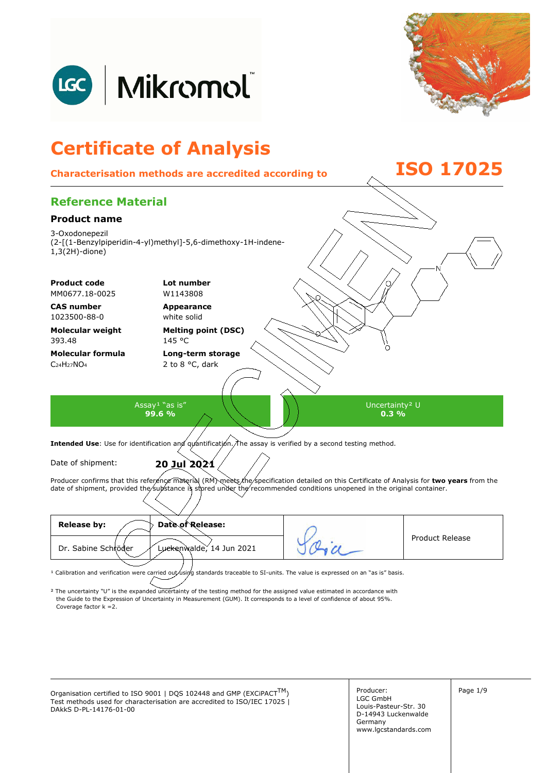



# **Certificate of Analysis**

# **Characterisation methods are accredited according to ISO 17025**

# **Reference Material**

#### **Product name**

3-Oxodonepezil (2-[(1-Benzylpiperidin-4-yl)methyl]-5,6-dimethoxy-1H-indene-1,3(2H)-dione)

**Product code Lot number** 

MM0677.18-0025 W1143808

**CAS number**  1023500-88-0

**Molecular weight**  393.48

**Molecular formula**  C<sub>24</sub>H<sub>27</sub>NO<sub>4</sub>

**Appearance**  white solid

**Melting point (DSC)**  145 °C

**Long-term storage**  2 to 8 °C, dark

Assay<sup>1</sup> "as is" **99.6 %** 

Uncertainty² U **0.3 %** 

Intended Use: Use for identification and quantification. The assay is verified by a second testing method.

Date of shipment: **20 Jul 2021**

Producer confirms that this reference material (RM) meets the specification detailed on this Certificate of Analysis for two years from the date of shipment, provided the substance is stored under the recommended conditions unopened in the original container.

| <b>Release by:</b><br>Date of Release:          |                        |
|-------------------------------------------------|------------------------|
| Dr. Sabine Schröder<br>Luckenwalde, 14 Jun 2021 | <b>Product Release</b> |
|                                                 |                        |

<sup>1</sup> Calibration and verification were carried out using standards traceable to SI-units. The value is expressed on an "as is" basis.

² The uncertainty "U" is the expanded uncertainty of the testing method for the assigned value estimated in accordance with Coverage factor k =2. the Guide to the Expression of Uncertainty in Measurement (GUM). It corresponds to a level of confidence of about 95%.

Organisation certified to ISO 9001 | DQS 102448 and GMP (EXCiPACT<sup>TM</sup>)  $\left\{\n\begin{array}{ccc}\n\text{Production certified to ISO 9001} & \text{DQS 102448 and GMP (EXCiPACT<sup>TM</sup>)\n\end{array}\n\right\}$ Test methods used for characterisation are accredited to ISO/IEC 17025 | DAkkS D-PL-14176-01-00

Producer: LGC GmbH Louis-Pasteur-Str. 30 D-14943 Luckenwalde Germany www.lgcstandards.com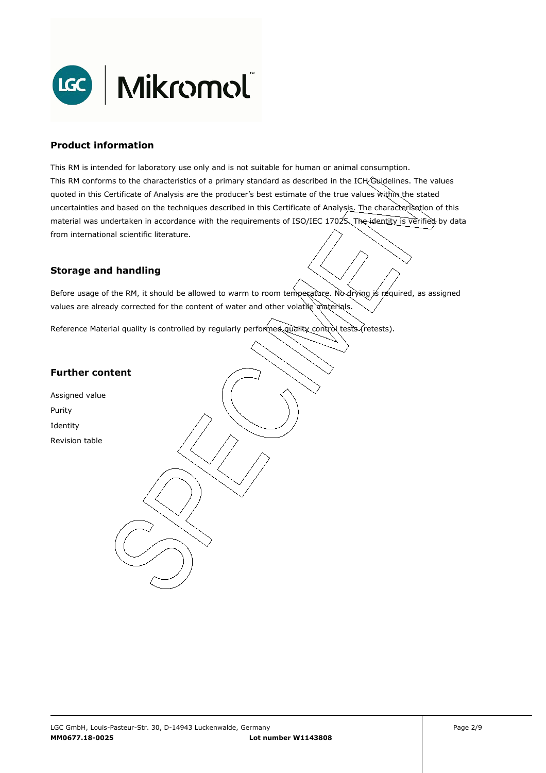

### **Product information**

This RM is intended for laboratory use only and is not suitable for human or animal consumption. This RM conforms to the characteristics of a primary standard as described in the ICH Guidelines. The values quoted in this Certificate of Analysis are the producer's best estimate of the true values within the stated uncertainties and based on the techniques described in this Certificate of Analysis. The characterisation of this material was undertaken in accordance with the requirements of ISO/IEC 17025. The identity is verified by data from international scientific literature.

## **Storage and handling**

Before usage of the RM, it should be allowed to warm to room temperature. No drying is required, as assigned values are already corrected for the content of water and other volatile materials.

Reference Material quality is controlled by regularly performed quality control tests (retests).

#### **Further content**

Assigned value Purity Identity Revision table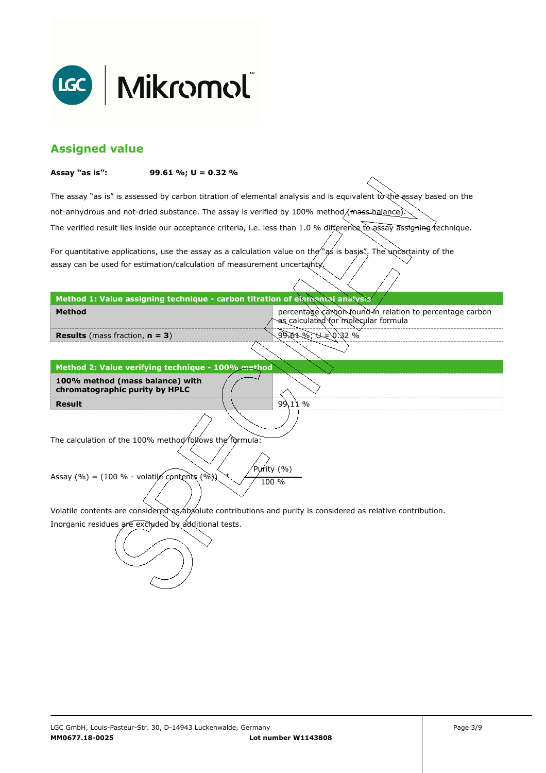

# **Assigned value**

#### **Assay "as is": 99.61 %; U = 0.32 %**

The assay "as is" is assessed by carbon titration of elemental analysis and is equivalent to the assay based on the The verified result lies inside our acceptance criteria, i.e. less than 1.0 % difference to assay assigning technique. not-anhydrous and not-dried substance. The assay is verified by 100% method/mass-balance)

For quantitative applications, use the assay as a calculation value on the  $\gamma$  as is basis". The uncertainty of the assay can be used for estimation/calculation of measurement uncertainty.

**Method 1: Value assigning technique - carbon titration of elemental analysis** 

percentage carbon found in relation to percentage carbon as calculated for molecular formula

99.61 %; U = 0.32 %

 $99.11%$ 

**Results** (mass fraction, **n = 3**)

**Method** 

**Result Method 2: Value verifying technique - 100% method 100% method (mass balance) with chromatographic purity by HPLC** 

The calculation of the 100% method follows the formula:

Purity (%) Assay (%) = (100 % - volatile contents (%)  $\chi$  / 100 %

Volatile contents are considered as absolute contributions and purity is considered as relative contribution.

Inorganic residues are excluded by additional tests.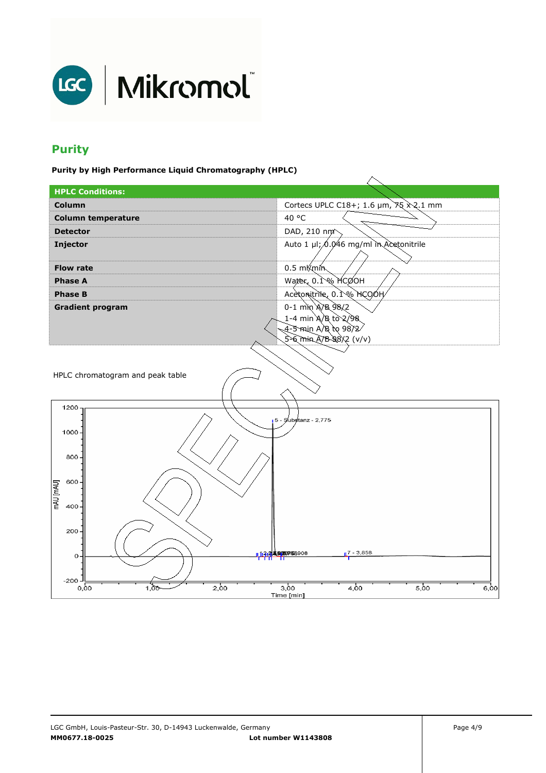

# **Purity**

**Purity by High Performance Liquid Chromatography (HPLC)** 

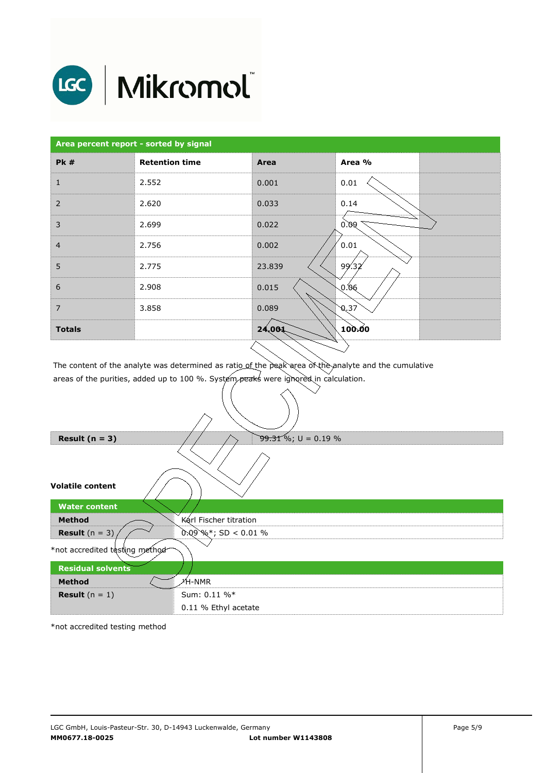

# LGC | Mikromol

| <b>Retention time</b><br><b>Pk#</b><br>2.552<br>1<br>$\overline{2}$<br>2.620<br>3<br>2.699 | Area<br>0.001<br>0.033 | Area %<br>0.01<br>0.14 |  |
|--------------------------------------------------------------------------------------------|------------------------|------------------------|--|
|                                                                                            |                        |                        |  |
|                                                                                            |                        |                        |  |
|                                                                                            |                        |                        |  |
|                                                                                            | 0.022                  | 0.09                   |  |
| $\overline{4}$<br>2.756                                                                    | 0.002                  | 0.01                   |  |
| 5<br>2.775                                                                                 | 23.839                 | 99.32                  |  |
| 6<br>2.908                                                                                 | 0.015                  | 0.06                   |  |
| $\overline{7}$<br>3.858                                                                    | 0.089                  | 0,37                   |  |
| <b>Totals</b>                                                                              | 24,004                 | 100.00                 |  |

The content of the analyte was determined as ratio of the peak area of the analyte and the cumulative areas of the purities, added up to 100 %. System peaks were ignored in calculation.

| Result $(n = 3)$               | $99.31\%$ ; U = 0.19 %  |  |  |  |
|--------------------------------|-------------------------|--|--|--|
|                                |                         |  |  |  |
| <b>Volatile content</b>        |                         |  |  |  |
| <b>Water content</b>           |                         |  |  |  |
| <b>Method</b>                  | Karl Fischer titration  |  |  |  |
| <b>Result</b> $(n = 3)$        | $0.09\%$ *; SD < 0.01 % |  |  |  |
| *not accredited testing method |                         |  |  |  |
| <b>Residual solvents</b>       |                         |  |  |  |
| <b>Method</b>                  | ⊁Ή-NMR                  |  |  |  |
| <b>Result</b> $(n = 1)$        | Sum: 0.11 %*            |  |  |  |
|                                | 0.11 % Ethyl acetate    |  |  |  |

\*not accredited testing method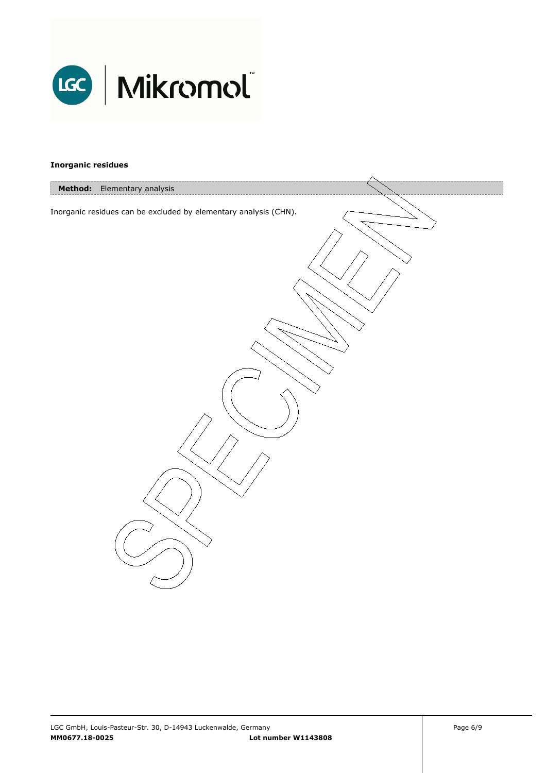

#### **Inorganic residues**

| Method: Elementary analysis                                      |  |
|------------------------------------------------------------------|--|
|                                                                  |  |
| Inorganic residues can be excluded by elementary analysis (CHN). |  |
|                                                                  |  |
|                                                                  |  |
|                                                                  |  |
|                                                                  |  |
|                                                                  |  |
|                                                                  |  |
|                                                                  |  |
|                                                                  |  |
|                                                                  |  |
|                                                                  |  |
|                                                                  |  |
|                                                                  |  |
|                                                                  |  |
|                                                                  |  |
|                                                                  |  |
|                                                                  |  |
|                                                                  |  |
|                                                                  |  |
|                                                                  |  |
|                                                                  |  |
|                                                                  |  |
|                                                                  |  |
|                                                                  |  |
|                                                                  |  |
|                                                                  |  |
|                                                                  |  |
|                                                                  |  |
|                                                                  |  |
|                                                                  |  |
|                                                                  |  |
|                                                                  |  |
|                                                                  |  |
|                                                                  |  |
|                                                                  |  |
|                                                                  |  |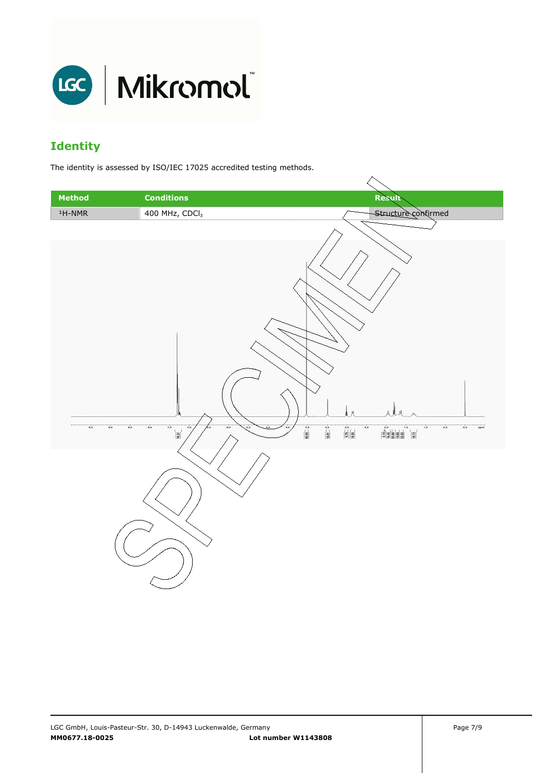

# **Identity**

The identity is assessed by ISO/IEC 17025 accredited testing methods.

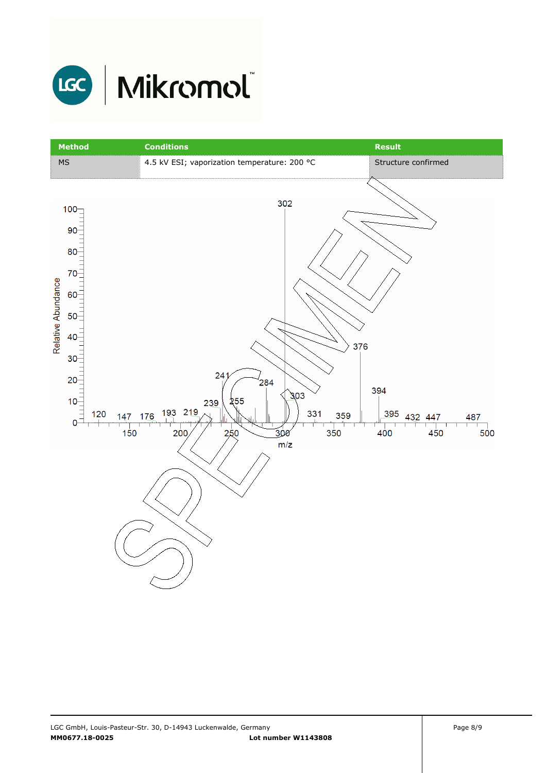